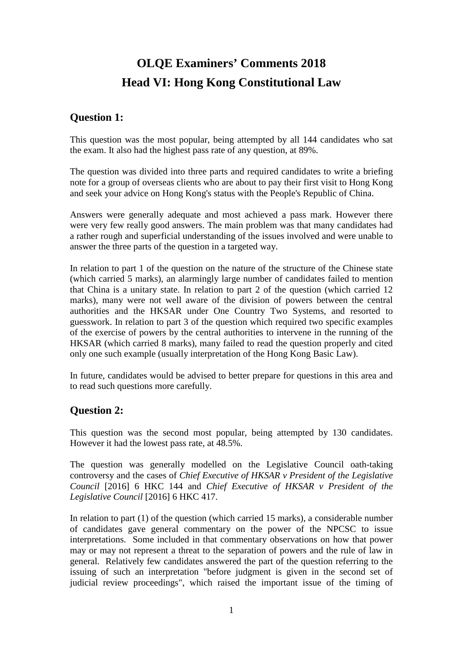# **OLQE Examiners' Comments 2018 Head VI: Hong Kong Constitutional Law**

## **Question 1:**

This question was the most popular, being attempted by all 144 candidates who sat the exam. It also had the highest pass rate of any question, at 89%.

The question was divided into three parts and required candidates to write a briefing note for a group of overseas clients who are about to pay their first visit to Hong Kong and seek your advice on Hong Kong's status with the People's Republic of China.

Answers were generally adequate and most achieved a pass mark. However there were very few really good answers. The main problem was that many candidates had a rather rough and superficial understanding of the issues involved and were unable to answer the three parts of the question in a targeted way.

In relation to part 1 of the question on the nature of the structure of the Chinese state (which carried 5 marks), an alarmingly large number of candidates failed to mention that China is a unitary state. In relation to part 2 of the question (which carried 12 marks), many were not well aware of the division of powers between the central authorities and the HKSAR under One Country Two Systems, and resorted to guesswork. In relation to part 3 of the question which required two specific examples of the exercise of powers by the central authorities to intervene in the running of the HKSAR (which carried 8 marks), many failed to read the question properly and cited only one such example (usually interpretation of the Hong Kong Basic Law).

In future, candidates would be advised to better prepare for questions in this area and to read such questions more carefully.

## **Question 2:**

This question was the second most popular, being attempted by 130 candidates. However it had the lowest pass rate, at 48.5%.

The question was generally modelled on the Legislative Council oath-taking controversy and the cases of *Chief Executive of HKSAR v President of the Legislative Council* [2016] 6 HKC 144 and *Chief Executive of HKSAR v President of the Legislative Council* [2016] 6 HKC 417.

In relation to part (1) of the question (which carried 15 marks), a considerable number of candidates gave general commentary on the power of the NPCSC to issue interpretations. Some included in that commentary observations on how that power may or may not represent a threat to the separation of powers and the rule of law in general. Relatively few candidates answered the part of the question referring to the issuing of such an interpretation "before judgment is given in the second set of judicial review proceedings", which raised the important issue of the timing of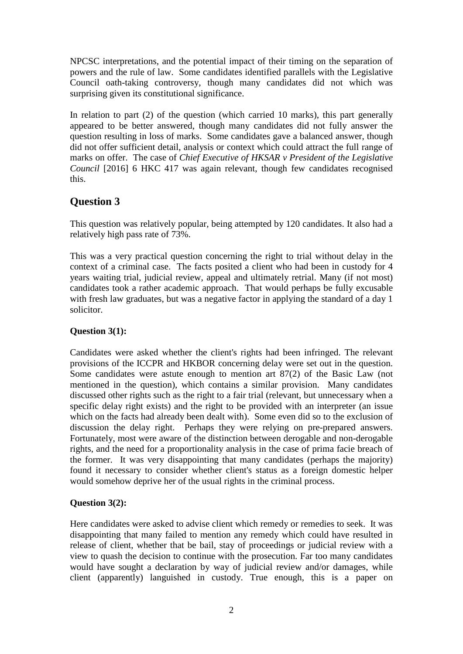NPCSC interpretations, and the potential impact of their timing on the separation of powers and the rule of law. Some candidates identified parallels with the Legislative Council oath-taking controversy, though many candidates did not which was surprising given its constitutional significance.

In relation to part (2) of the question (which carried 10 marks), this part generally appeared to be better answered, though many candidates did not fully answer the question resulting in loss of marks. Some candidates gave a balanced answer, though did not offer sufficient detail, analysis or context which could attract the full range of marks on offer. The case of *Chief Executive of HKSAR v President of the Legislative Council* [2016] 6 HKC 417 was again relevant, though few candidates recognised this.

# **Question 3**

This question was relatively popular, being attempted by 120 candidates. It also had a relatively high pass rate of 73%.

This was a very practical question concerning the right to trial without delay in the context of a criminal case. The facts posited a client who had been in custody for 4 years waiting trial, judicial review, appeal and ultimately retrial. Many (if not most) candidates took a rather academic approach. That would perhaps be fully excusable with fresh law graduates, but was a negative factor in applying the standard of a day 1 solicitor.

#### **Question 3(1):**

Candidates were asked whether the client's rights had been infringed. The relevant provisions of the ICCPR and HKBOR concerning delay were set out in the question. Some candidates were astute enough to mention art 87(2) of the Basic Law (not mentioned in the question), which contains a similar provision. Many candidates discussed other rights such as the right to a fair trial (relevant, but unnecessary when a specific delay right exists) and the right to be provided with an interpreter (an issue which on the facts had already been dealt with). Some even did so to the exclusion of discussion the delay right. Perhaps they were relying on pre-prepared answers. Fortunately, most were aware of the distinction between derogable and non-derogable rights, and the need for a proportionality analysis in the case of prima facie breach of the former. It was very disappointing that many candidates (perhaps the majority) found it necessary to consider whether client's status as a foreign domestic helper would somehow deprive her of the usual rights in the criminal process.

#### **Question 3(2):**

Here candidates were asked to advise client which remedy or remedies to seek. It was disappointing that many failed to mention any remedy which could have resulted in release of client, whether that be bail, stay of proceedings or judicial review with a view to quash the decision to continue with the prosecution. Far too many candidates would have sought a declaration by way of judicial review and/or damages, while client (apparently) languished in custody. True enough, this is a paper on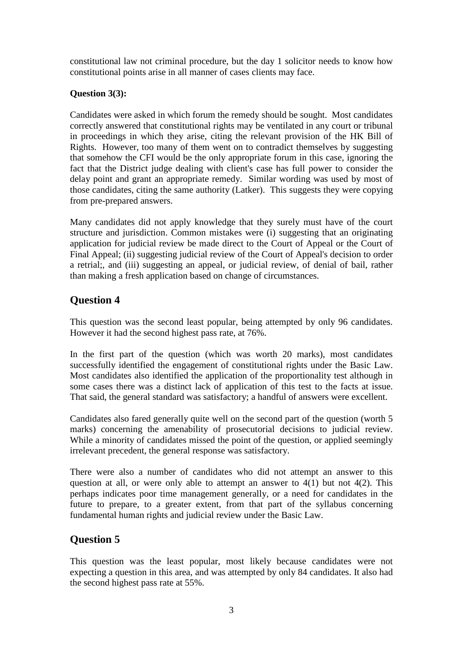constitutional law not criminal procedure, but the day 1 solicitor needs to know how constitutional points arise in all manner of cases clients may face.

### **Question 3(3):**

Candidates were asked in which forum the remedy should be sought. Most candidates correctly answered that constitutional rights may be ventilated in any court or tribunal in proceedings in which they arise, citing the relevant provision of the HK Bill of Rights. However, too many of them went on to contradict themselves by suggesting that somehow the CFI would be the only appropriate forum in this case, ignoring the fact that the District judge dealing with client's case has full power to consider the delay point and grant an appropriate remedy. Similar wording was used by most of those candidates, citing the same authority (Latker). This suggests they were copying from pre-prepared answers.

Many candidates did not apply knowledge that they surely must have of the court structure and jurisdiction. Common mistakes were (i) suggesting that an originating application for judicial review be made direct to the Court of Appeal or the Court of Final Appeal; (ii) suggesting judicial review of the Court of Appeal's decision to order a retrial;, and (iii) suggesting an appeal, or judicial review, of denial of bail, rather than making a fresh application based on change of circumstances.

# **Question 4**

This question was the second least popular, being attempted by only 96 candidates. However it had the second highest pass rate, at 76%.

In the first part of the question (which was worth 20 marks), most candidates successfully identified the engagement of constitutional rights under the Basic Law. Most candidates also identified the application of the proportionality test although in some cases there was a distinct lack of application of this test to the facts at issue. That said, the general standard was satisfactory; a handful of answers were excellent.

Candidates also fared generally quite well on the second part of the question (worth 5 marks) concerning the amenability of prosecutorial decisions to judicial review. While a minority of candidates missed the point of the question, or applied seemingly irrelevant precedent, the general response was satisfactory.

There were also a number of candidates who did not attempt an answer to this question at all, or were only able to attempt an answer to  $4(1)$  but not  $4(2)$ . This perhaps indicates poor time management generally, or a need for candidates in the future to prepare, to a greater extent, from that part of the syllabus concerning fundamental human rights and judicial review under the Basic Law.

# **Question 5**

This question was the least popular, most likely because candidates were not expecting a question in this area, and was attempted by only 84 candidates. It also had the second highest pass rate at 55%.